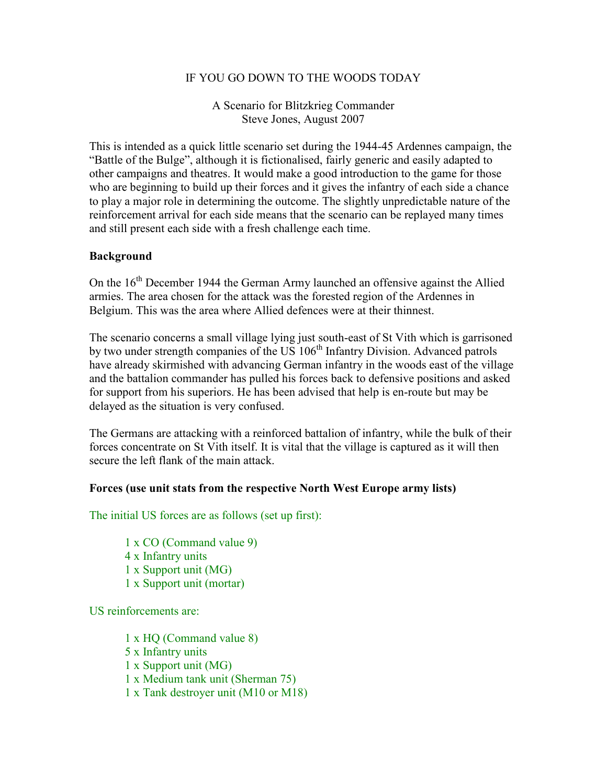#### IF YOU GO DOWN TO THE WOODS TODAY

#### A Scenario for Blitzkrieg Commander Steve Jones, August 2007

This is intended as a quick little scenario set during the 1944-45 Ardennes campaign, the "Battle of the Bulge", although it is fictionalised, fairly generic and easily adapted to other campaigns and theatres. It would make a good introduction to the game for those who are beginning to build up their forces and it gives the infantry of each side a chance to play a major role in determining the outcome. The slightly unpredictable nature of the reinforcement arrival for each side means that the scenario can be replayed many times and still present each side with a fresh challenge each time.

#### Background

On the  $16<sup>th</sup>$  December 1944 the German Army launched an offensive against the Allied armies. The area chosen for the attack was the forested region of the Ardennes in Belgium. This was the area where Allied defences were at their thinnest.

The scenario concerns a small village lying just south-east of St Vith which is garrisoned by two under strength companies of the US  $106<sup>th</sup>$  Infantry Division. Advanced patrols have already skirmished with advancing German infantry in the woods east of the village and the battalion commander has pulled his forces back to defensive positions and asked for support from his superiors. He has been advised that help is en-route but may be delayed as the situation is very confused.

The Germans are attacking with a reinforced battalion of infantry, while the bulk of their forces concentrate on St Vith itself. It is vital that the village is captured as it will then secure the left flank of the main attack.

#### Forces (use unit stats from the respective North West Europe army lists)

The initial US forces are as follows (set up first):

1 x CO (Command value 9) 4 x Infantry units 1 x Support unit (MG) 1 x Support unit (mortar)

US reinforcements are:

1 x HQ (Command value 8) 5 x Infantry units 1 x Support unit (MG) 1 x Medium tank unit (Sherman 75) 1 x Tank destroyer unit (M10 or M18)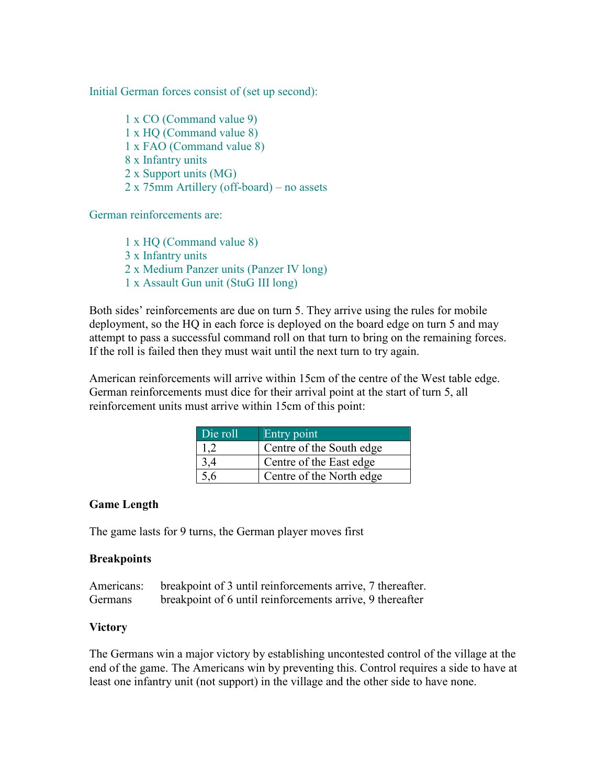Initial German forces consist of (set up second):

1 x CO (Command value 9) 1 x HQ (Command value 8) 1 x FAO (Command value 8) 8 x Infantry units 2 x Support units (MG) 2 x 75mm Artillery (off-board) – no assets

German reinforcements are:

1 x HQ (Command value 8) 3 x Infantry units 2 x Medium Panzer units (Panzer IV long) 1 x Assault Gun unit (StuG III long)

Both sides' reinforcements are due on turn 5. They arrive using the rules for mobile deployment, so the HQ in each force is deployed on the board edge on turn 5 and may attempt to pass a successful command roll on that turn to bring on the remaining forces. If the roll is failed then they must wait until the next turn to try again.

American reinforcements will arrive within 15cm of the centre of the West table edge. German reinforcements must dice for their arrival point at the start of turn 5, all reinforcement units must arrive within 15cm of this point:

| Die roll | Entry point              |
|----------|--------------------------|
|          | Centre of the South edge |
| 3,4      | Centre of the East edge  |
| 5,6      | Centre of the North edge |

## Game Length

The game lasts for 9 turns, the German player moves first

## **Breakpoints**

| Americans: | breakpoint of 3 until reinforcements arrive, 7 thereafter. |
|------------|------------------------------------------------------------|
| Germans    | breakpoint of 6 until reinforcements arrive, 9 thereafter  |

## **Victory**

The Germans win a major victory by establishing uncontested control of the village at the end of the game. The Americans win by preventing this. Control requires a side to have at least one infantry unit (not support) in the village and the other side to have none.